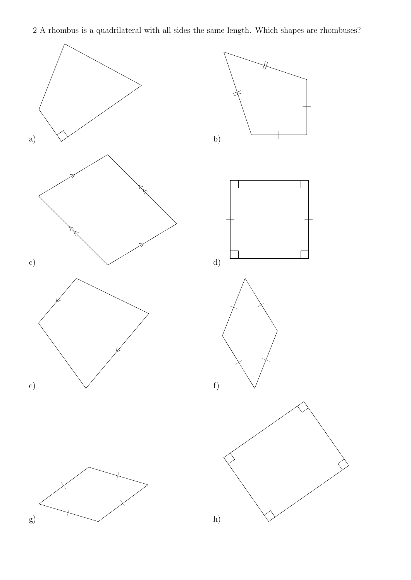2 A rhombus is a quadrilateral with all sides the same length. Which shapes are rhombuses?

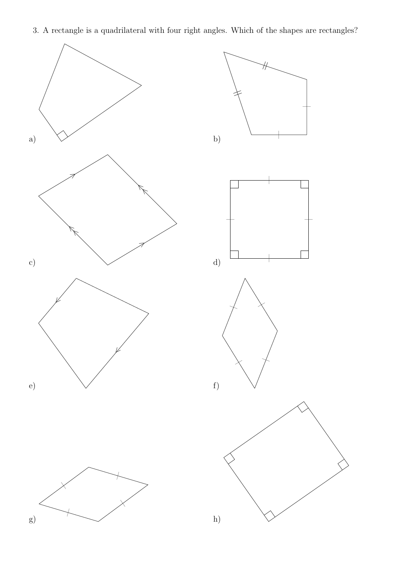3. A rectangle is a quadrilateral with four right angles. Which of the shapes are rectangles?

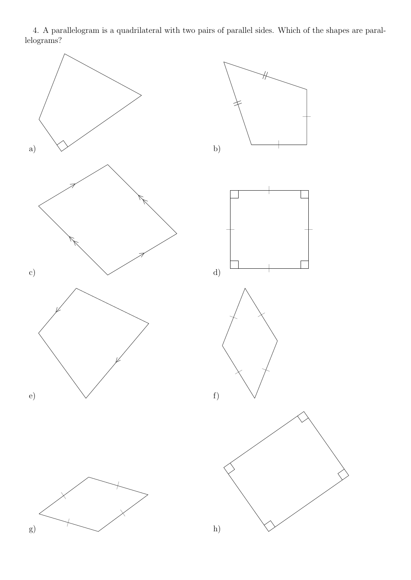4. A parallelogram is a quadrilateral with two pairs of parallel sides. Which of the shapes are parallelograms?

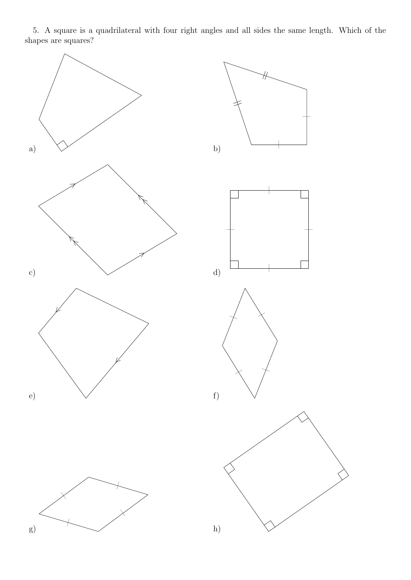5. A square is a quadrilateral with four right angles and all sides the same length. Which of the shapes are squares?

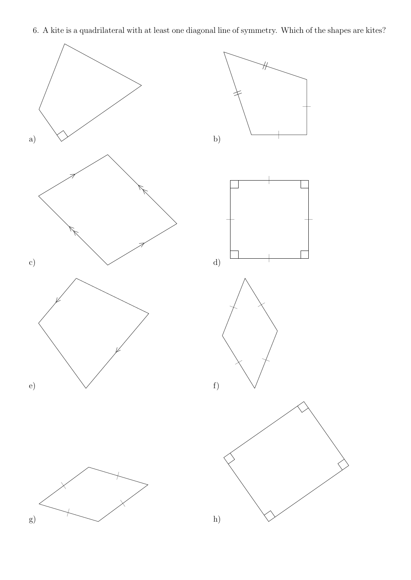6. A kite is a quadrilateral with at least one diagonal line of symmetry. Which of the shapes are kites?